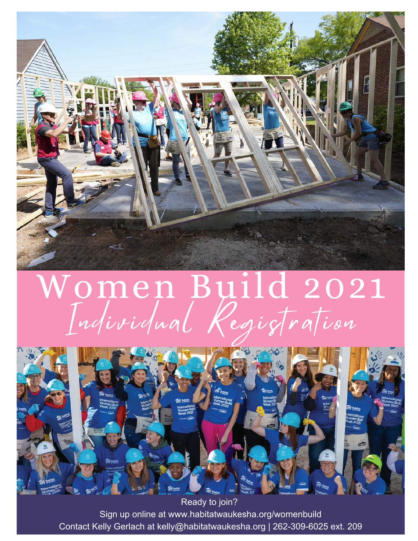

# Women Build 2021 Individual Registration



Sign up online at www.habitatwaukesha.org/womenbuild Contact Kelly Gerlach at kelly@habitatwaukesha.org | 262-309-6025 ext. 209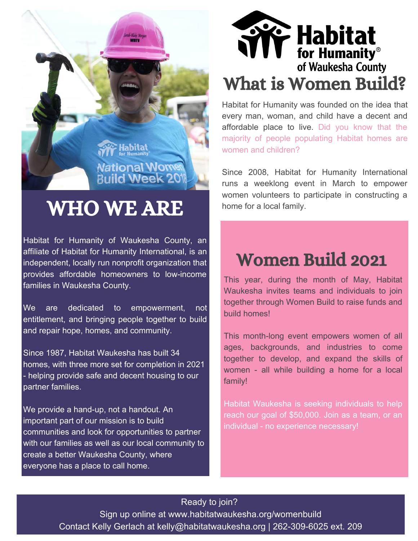

# WHO WE ARE

Habitat for Humanity of Waukesha County, an affiliate of Habitat for Humanity International, is an independent, locally run nonprofit organization that provides affordable homeowners to low-income families in Waukesha County.

We are dedicated to empowerment, not entitlement, and bringing people together to build and repair hope, homes, and community.

Since 1987, Habitat Waukesha has built 34 homes, with three more set for completion in 2021 - helping provide safe and decent housing to our partner families.

We provide a hand-up, not a handout. An important part of our mission is to build communities and look for opportunities to partner with our families as well as our local community to create a better Waukesha County, where everyone has a place to call home.



Habitat for Humanity was founded on the idea that every man, woman, and child have a decent and affordable place to live. Did you know that the majority of people populating Habitat homes are women and children?

Since 2008, Habitat for Humanity International runs a weeklong event in March to empower women volunteers to participate in constructing a home for a local family.

# Women Build 2021

This year, during the month of May, Habitat Waukesha invites teams and individuals to join together through Women Build to raise funds and build homes!

This month-long event empowers women of all ages, backgrounds, and industries to come together to develop, and expand the skills of women - all while building a home for a local family!

Habitat Waukesha is seeking individuals to help reach our goal of \$50,000. Join as a team, or an individual - no experience necessary!

#### Ready to join?

Sign up online at www.habitatwaukesha.org/womenbuild Contact Kelly Gerlach at kelly@habitatwaukesha.org | 262-309-6025 ext. 209